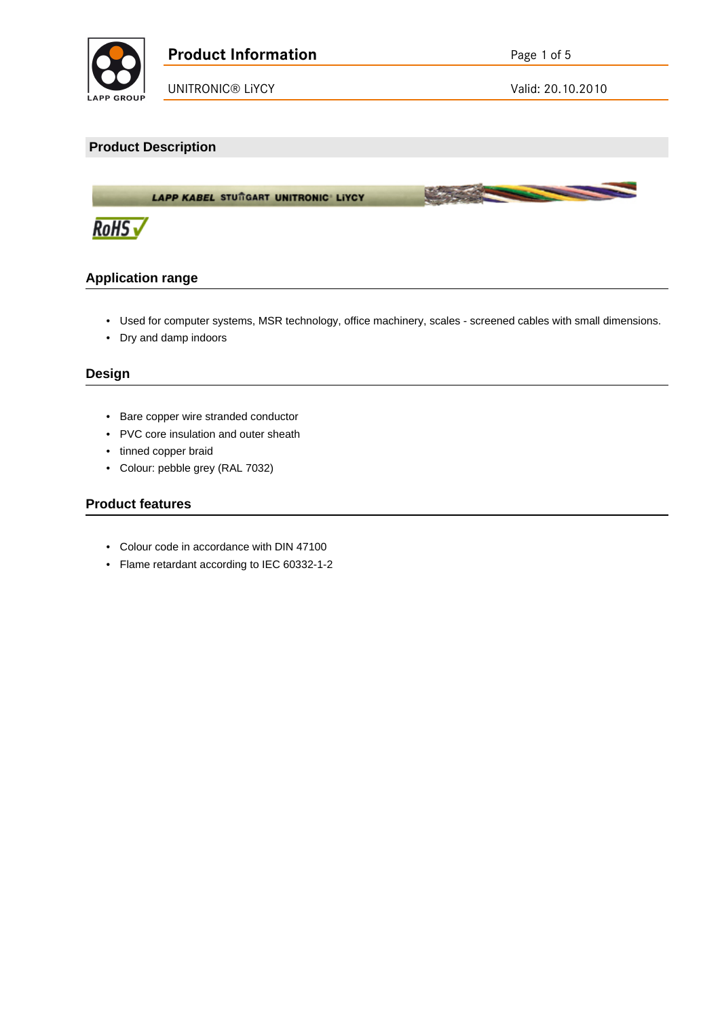

### **Product Description**

LAPP KABEL STUTGART UNITRONIC LIYCY



## **Application range**

• Used for computer systems, MSR technology, office machinery, scales - screened cables with small dimensions.

**March 200** 

• Dry and damp indoors

### **Design**

- Bare copper wire stranded conductor
- PVC core insulation and outer sheath
- tinned copper braid
- Colour: pebble grey (RAL 7032)

### **Product features**

- Colour code in accordance with DIN 47100
- Flame retardant according to IEC 60332-1-2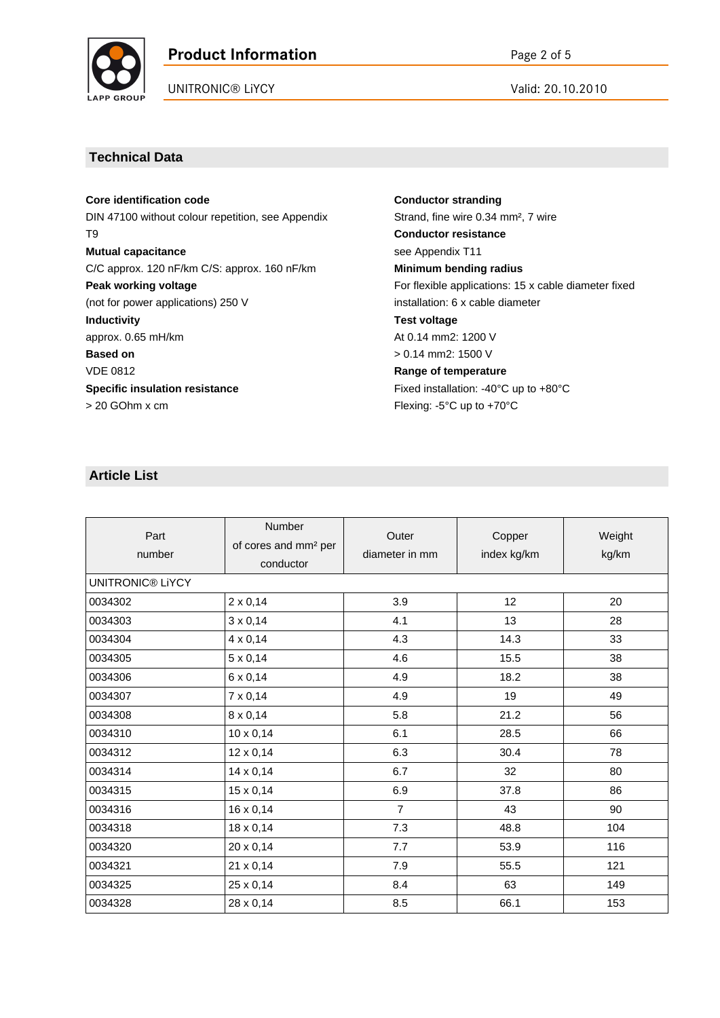

# **Product Information** Page 2 of 5

UNITRONIC® LIYCY Valid: 20.10.2010

### **Technical Data**

**Core identification code** DIN 47100 without colour repetition, see Appendix T9 **Mutual capacitance** C/C approx. 120 nF/km C/S: approx. 160 nF/km **Peak working voltage** (not for power applications) 250 V **Inductivity** approx. 0.65 mH/km **Based on** VDE 0812 **Specific insulation resistance** > 20 GOhm x cm

**Conductor stranding** Strand, fine wire 0.34 mm², 7 wire **Conductor resistance** see Appendix T11 **Minimum bending radius** For flexible applications: 15 x cable diameter fixed installation: 6 x cable diameter **Test voltage** At 0.14 mm2: 1200 V > 0.14 mm2: 1500 V **Range of temperature** Fixed installation: -40°C up to +80°C Flexing: -5°C up to +70°C

# **Article List**

| Part<br>number          | <b>Number</b><br>of cores and mm <sup>2</sup> per<br>conductor | Outer<br>diameter in mm | Copper<br>index kg/km | Weight<br>kg/km |  |
|-------------------------|----------------------------------------------------------------|-------------------------|-----------------------|-----------------|--|
| <b>UNITRONIC® LIYCY</b> |                                                                |                         |                       |                 |  |
| 0034302                 | $2 \times 0,14$                                                | 3.9                     | 12                    | 20              |  |
| 0034303                 | $3 \times 0,14$                                                | 4.1                     | 13                    | 28              |  |
| 0034304                 | $4 \times 0,14$                                                | 4.3                     | 14.3                  | 33              |  |
| 0034305                 | $5 \times 0,14$                                                | 4.6                     | 15.5                  | 38              |  |
| 0034306                 | 6 x 0,14                                                       | 4.9                     | 18.2                  | 38              |  |
| 0034307                 | 7 x 0,14                                                       | 4.9                     | 19                    | 49              |  |
| 0034308                 | $8 \times 0,14$                                                | 5.8                     | 21.2                  | 56              |  |
| 0034310                 | $10 \times 0,14$                                               | 6.1                     | 28.5                  | 66              |  |
| 0034312                 | $12 \times 0,14$                                               | 6.3                     | 30.4                  | 78              |  |
| 0034314                 | $14 \times 0,14$                                               | 6.7                     | 32                    | 80              |  |
| 0034315                 | $15 \times 0,14$                                               | 6.9                     | 37.8                  | 86              |  |
| 0034316                 | $16 \times 0,14$                                               | $\overline{7}$          | 43                    | 90              |  |
| 0034318                 | $18 \times 0,14$                                               | 7.3                     | 48.8                  | 104             |  |
| 0034320                 | 20 x 0,14                                                      | 7.7                     | 53.9                  | 116             |  |
| 0034321                 | 21 x 0,14                                                      | 7.9                     | 55.5                  | 121             |  |
| 0034325                 | 25 x 0,14                                                      | 8.4                     | 63                    | 149             |  |
| 0034328                 | 28 x 0,14                                                      | 8.5                     | 66.1                  | 153             |  |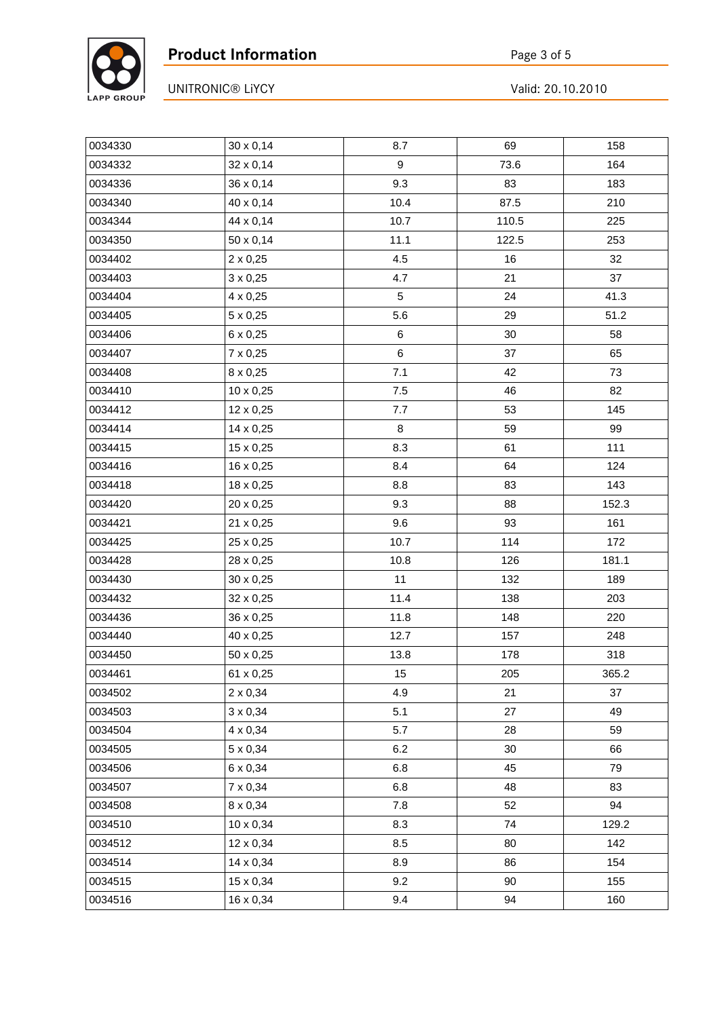

| 0034330 | $30 \times 0,14$ | 8.7    | 69    | 158   |
|---------|------------------|--------|-------|-------|
| 0034332 | 32 x 0,14        | 9      | 73.6  | 164   |
| 0034336 | 36 x 0,14        | 9.3    | 83    | 183   |
| 0034340 | 40 x 0,14        | 10.4   | 87.5  | 210   |
| 0034344 | 44 x 0,14        | 10.7   | 110.5 | 225   |
| 0034350 | 50 x 0,14        | 11.1   | 122.5 | 253   |
| 0034402 | $2 \times 0,25$  | 4.5    | 16    | 32    |
| 0034403 | $3 \times 0,25$  | 4.7    | 21    | 37    |
| 0034404 | 4 x 0,25         | 5      | 24    | 41.3  |
| 0034405 | $5 \times 0,25$  | 5.6    | 29    | 51.2  |
| 0034406 | 6 x 0,25         | $\,6$  | 30    | 58    |
| 0034407 | 7 x 0,25         | $\,6$  | 37    | 65    |
| 0034408 | 8 x 0,25         | 7.1    | 42    | 73    |
| 0034410 | $10 \times 0,25$ | 7.5    | 46    | 82    |
| 0034412 | 12 x 0,25        | 7.7    | 53    | 145   |
| 0034414 | 14 x 0,25        | $\bf8$ | 59    | 99    |
| 0034415 | 15 x 0,25        | 8.3    | 61    | 111   |
| 0034416 | 16 x 0,25        | 8.4    | 64    | 124   |
| 0034418 | 18 x 0,25        | 8.8    | 83    | 143   |
| 0034420 | 20 x 0,25        | 9.3    | 88    | 152.3 |
| 0034421 | 21 x 0,25        | 9.6    | 93    | 161   |
| 0034425 | 25 x 0,25        | 10.7   | 114   | 172   |
| 0034428 | 28 x 0,25        | 10.8   | 126   | 181.1 |
| 0034430 | 30 x 0,25        | 11     | 132   | 189   |
| 0034432 | 32 x 0,25        | 11.4   | 138   | 203   |
| 0034436 | 36 x 0,25        | 11.8   | 148   | 220   |
| 0034440 | 40 x 0,25        | 12.7   | 157   | 248   |
| 0034450 | 50 x 0,25        | 13.8   | 178   | 318   |
| 0034461 | 61 x 0,25        | 15     | 205   | 365.2 |
| 0034502 | 2 x 0,34         | 4.9    | 21    | 37    |
| 0034503 | $3 \times 0,34$  | 5.1    | 27    | 49    |
| 0034504 | 4 x 0,34         | 5.7    | 28    | 59    |
| 0034505 | 5 x 0,34         | 6.2    | 30    | 66    |
| 0034506 | 6 x 0,34         | 6.8    | 45    | 79    |
| 0034507 | 7 x 0,34         | 6.8    | 48    | 83    |
| 0034508 | 8 x 0,34         | 7.8    | 52    | 94    |
| 0034510 | $10 \times 0,34$ | 8.3    | 74    | 129.2 |
| 0034512 | 12 x 0,34        | 8.5    | 80    | 142   |
| 0034514 | 14 x 0,34        | 8.9    | 86    | 154   |
| 0034515 | 15 x 0,34        | 9.2    | 90    | 155   |
| 0034516 | 16 x 0,34        | 9.4    | 94    | 160   |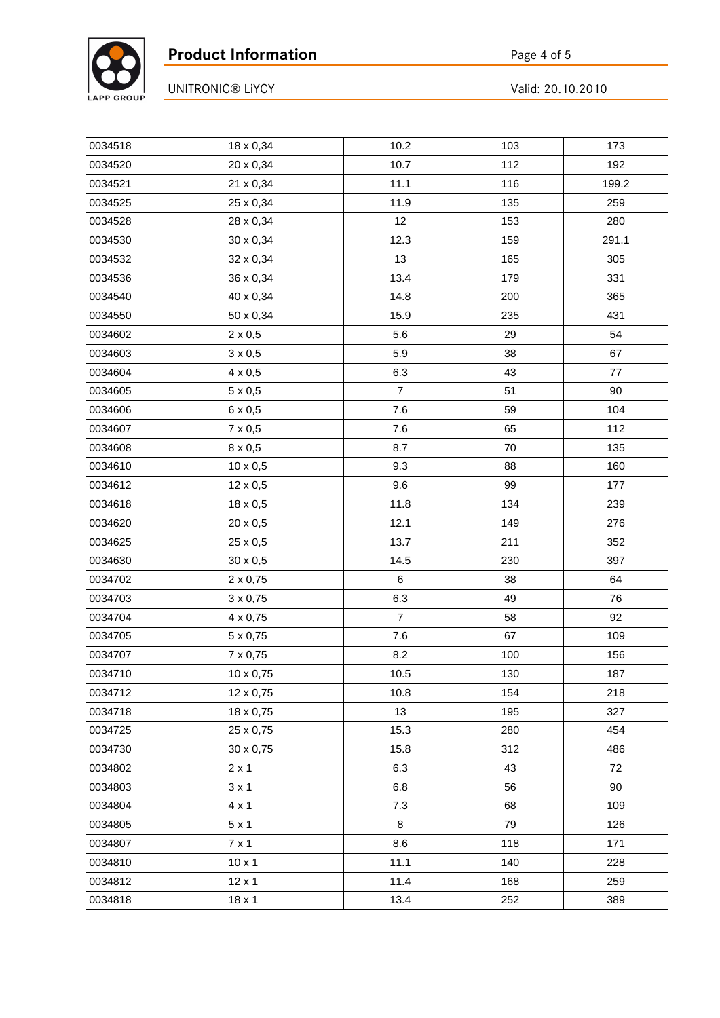

| 0034518 | 18 x 0,34        | 10.2           | 103 | 173   |
|---------|------------------|----------------|-----|-------|
| 0034520 | 20 x 0,34        | 10.7           | 112 | 192   |
| 0034521 | 21 x 0,34        | 11.1           | 116 | 199.2 |
| 0034525 | 25 x 0,34        | 11.9           | 135 | 259   |
| 0034528 | 28 x 0,34        | 12             | 153 | 280   |
| 0034530 | 30 x 0,34        | 12.3           | 159 | 291.1 |
| 0034532 | 32 x 0,34        | 13             | 165 | 305   |
| 0034536 | 36 x 0,34        | 13.4           | 179 | 331   |
| 0034540 | 40 x 0,34        | 14.8           | 200 | 365   |
| 0034550 | 50 x 0,34        | 15.9           | 235 | 431   |
| 0034602 | $2 \times 0,5$   | 5.6            | 29  | 54    |
| 0034603 | $3 \times 0,5$   | 5.9            | 38  | 67    |
| 0034604 | $4 \times 0,5$   | 6.3            | 43  | 77    |
| 0034605 | $5 \times 0,5$   | $\overline{7}$ | 51  | 90    |
| 0034606 | $6 \times 0,5$   | 7.6            | 59  | 104   |
| 0034607 | $7 \times 0,5$   | $7.6$          | 65  | 112   |
| 0034608 | $8 \times 0,5$   | 8.7            | 70  | 135   |
| 0034610 | $10 \times 0,5$  | 9.3            | 88  | 160   |
| 0034612 | 12 x 0,5         | 9.6            | 99  | 177   |
| 0034618 | 18 x 0,5         | 11.8           | 134 | 239   |
| 0034620 | 20 x 0,5         | 12.1           | 149 | 276   |
| 0034625 | 25 x 0,5         | 13.7           | 211 | 352   |
| 0034630 | 30 x 0,5         | 14.5           | 230 | 397   |
| 0034702 | $2 \times 0,75$  | 6              | 38  | 64    |
| 0034703 | $3 \times 0,75$  | 6.3            | 49  | 76    |
| 0034704 | 4 x 0,75         | $\overline{7}$ | 58  | 92    |
| 0034705 | $5 \times 0,75$  | 7.6            | 67  | 109   |
| 0034707 | 7 x 0,75         | 8.2            | 100 | 156   |
| 0034710 | $10 \times 0,75$ | 10.5           | 130 | 187   |
| 0034712 | 12 x 0,75        | 10.8           | 154 | 218   |
| 0034718 | 18 x 0,75        | 13             | 195 | 327   |
| 0034725 | 25 x 0,75        | 15.3           | 280 | 454   |
| 0034730 | 30 x 0,75        | 15.8           | 312 | 486   |
| 0034802 | $2 \times 1$     | 6.3            | 43  | 72    |
| 0034803 | $3 \times 1$     | 6.8            | 56  | 90    |
| 0034804 | $4 \times 1$     | 7.3            | 68  | 109   |
| 0034805 | $5 \times 1$     | 8              | 79  | 126   |
| 0034807 | $7 \times 1$     | 8.6            | 118 | 171   |
| 0034810 | $10 \times 1$    | 11.1           | 140 | 228   |
| 0034812 | $12 \times 1$    | 11.4           | 168 | 259   |
| 0034818 | $18 \times 1$    | 13.4           | 252 | 389   |